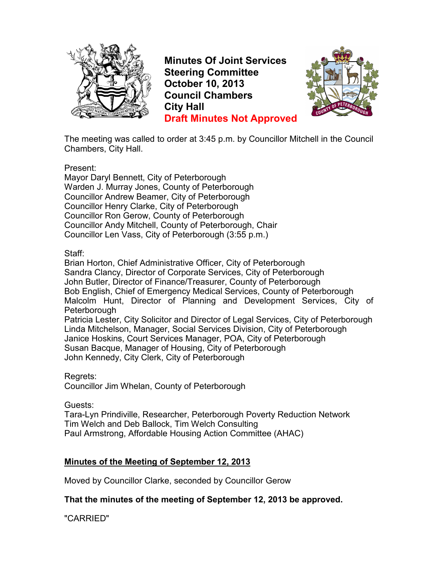

**Minutes Of Joint Services Steering Committee October 10, 2013 Council Chambers City Hall Draft Minutes Not Approved**



The meeting was called to order at 3:45 p.m. by Councillor Mitchell in the Council Chambers, City Hall.

Present:

Mayor Daryl Bennett, City of Peterborough Warden J. Murray Jones, County of Peterborough Councillor Andrew Beamer, City of Peterborough Councillor Henry Clarke, City of Peterborough Councillor Ron Gerow, County of Peterborough Councillor Andy Mitchell, County of Peterborough, Chair Councillor Len Vass, City of Peterborough (3:55 p.m.)

### Staff:

Brian Horton, Chief Administrative Officer, City of Peterborough Sandra Clancy, Director of Corporate Services, City of Peterborough John Butler, Director of Finance/Treasurer, County of Peterborough Bob English, Chief of Emergency Medical Services, County of Peterborough Malcolm Hunt, Director of Planning and Development Services, City of Peterborough Patricia Lester, City Solicitor and Director of Legal Services, City of Peterborough Linda Mitchelson, Manager, Social Services Division, City of Peterborough Janice Hoskins, Court Services Manager, POA, City of Peterborough Susan Bacque, Manager of Housing, City of Peterborough John Kennedy, City Clerk, City of Peterborough

Regrets:

Councillor Jim Whelan, County of Peterborough

Guests:

Tara-Lyn Prindiville, Researcher, Peterborough Poverty Reduction Network Tim Welch and Deb Ballock, Tim Welch Consulting Paul Armstrong, Affordable Housing Action Committee (AHAC)

### **Minutes of the Meeting of September 12, 2013**

Moved by Councillor Clarke, seconded by Councillor Gerow

**That the minutes of the meeting of September 12, 2013 be approved.**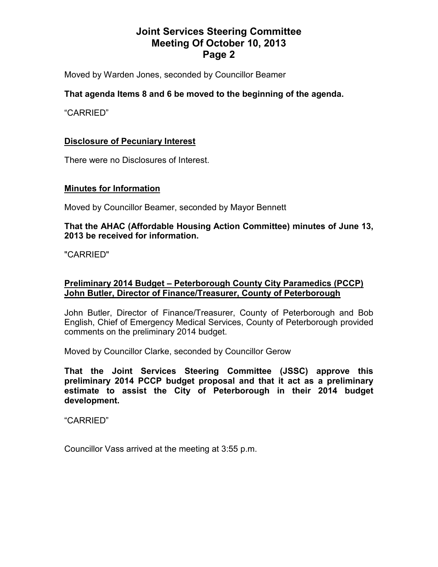Moved by Warden Jones, seconded by Councillor Beamer

### **That agenda Items 8 and 6 be moved to the beginning of the agenda.**

"CARRIED"

### **Disclosure of Pecuniary Interest**

There were no Disclosures of Interest.

#### **Minutes for Information**

Moved by Councillor Beamer, seconded by Mayor Bennett

#### **That the AHAC (Affordable Housing Action Committee) minutes of June 13, 2013 be received for information.**

"CARRIED"

### **Preliminary 2014 Budget – Peterborough County City Paramedics (PCCP) John Butler, Director of Finance/Treasurer, County of Peterborough**

John Butler, Director of Finance/Treasurer, County of Peterborough and Bob English, Chief of Emergency Medical Services, County of Peterborough provided comments on the preliminary 2014 budget.

Moved by Councillor Clarke, seconded by Councillor Gerow

**That the Joint Services Steering Committee (JSSC) approve this preliminary 2014 PCCP budget proposal and that it act as a preliminary estimate to assist the City of Peterborough in their 2014 budget development.**

"CARRIED"

Councillor Vass arrived at the meeting at 3:55 p.m.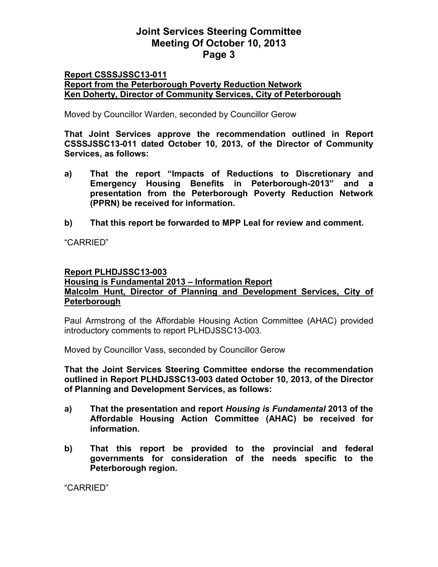### **Report CSSSJSSC13-011 Report from the Peterborough Poverty Reduction Network Ken Doherty, Director of Community Services, City of Peterborough**

Moved by Councillor Warden, seconded by Councillor Gerow

**That Joint Services approve the recommendation outlined in Report CSSSJSSC13-011 dated October 10, 2013, of the Director of Community Services, as follows:** 

- **a) That the report "Impacts of Reductions to Discretionary and Emergency Housing Benefits in Peterborough-2013" and a presentation from the Peterborough Poverty Reduction Network (PPRN) be received for information.**
- **b) That this report be forwarded to MPP Leal for review and comment.**

"CARRIED"

#### **Report PLHDJSSC13-003**

### **Housing is Fundamental 2013 – Information Report Malcolm Hunt, Director of Planning and Development Services, City of Peterborough**

Paul Armstrong of the Affordable Housing Action Committee (AHAC) provided introductory comments to report PLHDJSSC13-003.

Moved by Councillor Vass, seconded by Councillor Gerow

**That the Joint Services Steering Committee endorse the recommendation outlined in Report PLHDJSSC13-003 dated October 10, 2013, of the Director of Planning and Development Services, as follows:** 

- **a) That the presentation and report** *Housing is Fundamental* **2013 of the Affordable Housing Action Committee (AHAC) be received for information.**
- **b) That this report be provided to the provincial and federal governments for consideration of the needs specific to the Peterborough region.**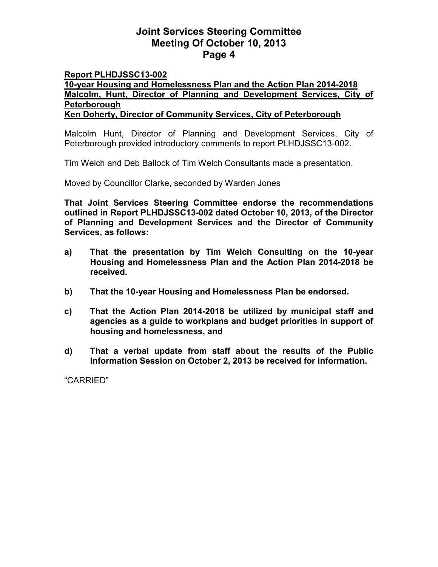### **Report PLHDJSSC13-002**

**10-year Housing and Homelessness Plan and the Action Plan 2014-2018 Malcolm, Hunt, Director of Planning and Development Services, City of Peterborough Ken Doherty, Director of Community Services, City of Peterborough**

Malcolm Hunt, Director of Planning and Development Services, City of

Peterborough provided introductory comments to report PLHDJSSC13-002.

Tim Welch and Deb Ballock of Tim Welch Consultants made a presentation.

Moved by Councillor Clarke, seconded by Warden Jones

**That Joint Services Steering Committee endorse the recommendations outlined in Report PLHDJSSC13-002 dated October 10, 2013, of the Director of Planning and Development Services and the Director of Community Services, as follows:** 

- **a) That the presentation by Tim Welch Consulting on the 10-year Housing and Homelessness Plan and the Action Plan 2014-2018 be received.**
- **b) That the 10-year Housing and Homelessness Plan be endorsed.**
- **c) That the Action Plan 2014-2018 be utilized by municipal staff and agencies as a guide to workplans and budget priorities in support of housing and homelessness, and**
- **d) That a verbal update from staff about the results of the Public Information Session on October 2, 2013 be received for information.**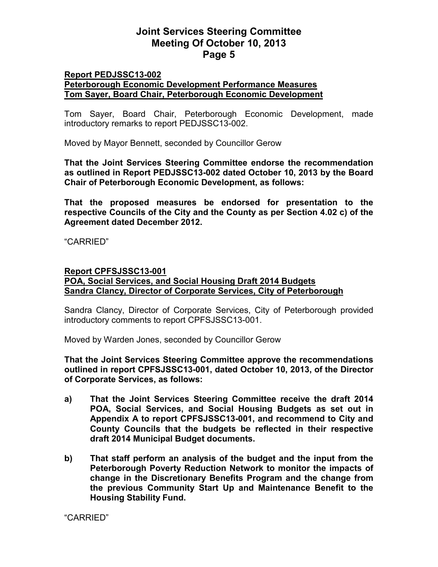### **Report PEDJSSC13-002 Peterborough Economic Development Performance Measures Tom Sayer, Board Chair, Peterborough Economic Development**

Tom Sayer, Board Chair, Peterborough Economic Development, made introductory remarks to report PEDJSSC13-002.

Moved by Mayor Bennett, seconded by Councillor Gerow

**That the Joint Services Steering Committee endorse the recommendation as outlined in Report PEDJSSC13-002 dated October 10, 2013 by the Board Chair of Peterborough Economic Development, as follows:** 

**That the proposed measures be endorsed for presentation to the respective Councils of the City and the County as per Section 4.02 c) of the Agreement dated December 2012.** 

"CARRIED"

#### **Report CPFSJSSC13-001**

**POA, Social Services, and Social Housing Draft 2014 Budgets Sandra Clancy, Director of Corporate Services, City of Peterborough**

Sandra Clancy, Director of Corporate Services, City of Peterborough provided introductory comments to report CPFSJSSC13-001.

Moved by Warden Jones, seconded by Councillor Gerow

**That the Joint Services Steering Committee approve the recommendations outlined in report CPFSJSSC13-001, dated October 10, 2013, of the Director of Corporate Services, as follows:** 

- **a) That the Joint Services Steering Committee receive the draft 2014 POA, Social Services, and Social Housing Budgets as set out in Appendix A to report CPFSJSSC13-001, and recommend to City and County Councils that the budgets be reflected in their respective draft 2014 Municipal Budget documents.**
- **b) That staff perform an analysis of the budget and the input from the Peterborough Poverty Reduction Network to monitor the impacts of change in the Discretionary Benefits Program and the change from the previous Community Start Up and Maintenance Benefit to the Housing Stability Fund.**